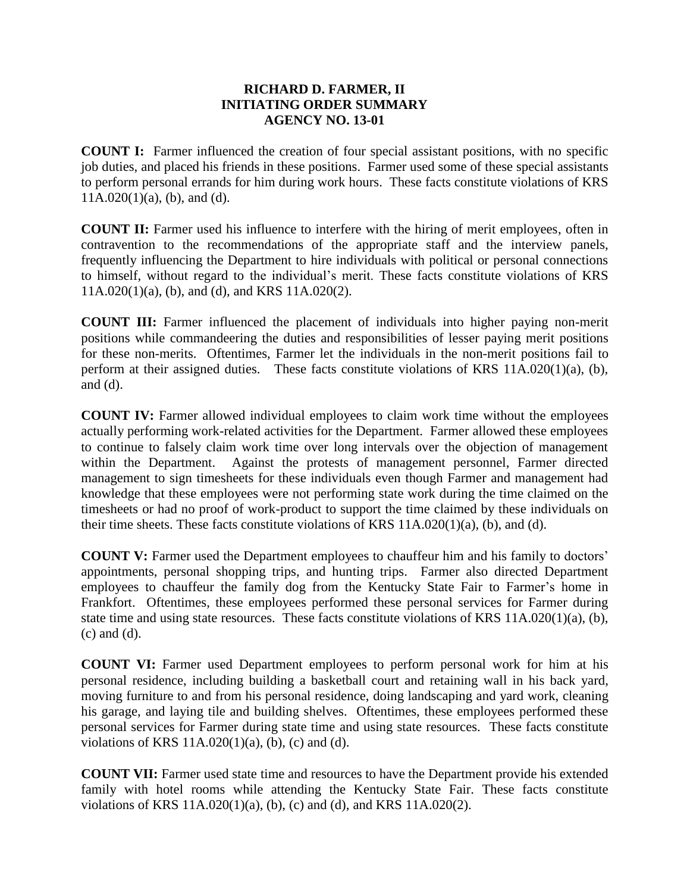## 1 **RICHARD D. FARMER, II**  2 **INITIATING ORDER SUMMARY** 3 **AGENCY NO. 13-01**

5 **COUNT I:** Farmer influenced the creation of four special assistant positions, with no specific job duties, and placed his friends in these positions. Farmer used some of these special assistants 7 to perform personal errands for him during work hours. These facts constitute violations of KRS  $11A.020(1)(a)$ , (b), and (d).

**COUNT II:** Farmer used his influence to interfere with the hiring of merit employees, often in contravention to the recommendations of the appropriate staff and the interview panels, frequently influencing the Department to hire individuals with political or personal connections 13 to himself, without regard to the individual's merit. These facts constitute violations of KRS  $11A.020(1)(a)$ , (b), and (d), and KRS  $11A.020(2)$ .

16 **COUNT III:** Farmer influenced the placement of individuals into higher paying non-merit 17 positions while commandeering the duties and responsibilities of lesser paying merit positions for these non-merits. Oftentimes, Farmer let the individuals in the non-merit positions fail to perform at their assigned duties. These facts constitute violations of KRS 11A.020(1)(a), (b), and  $(d)$ .

22 **COUNT IV:** Farmer allowed individual employees to claim work time without the employees actually performing work-related activities for the Department. Farmer allowed these employees to continue to falsely claim work time over long intervals over the objection of management within the Department. Against the protests of management personnel, Farmer directed management to sign timesheets for these individuals even though Farmer and management had 27 knowledge that these employees were not performing state work during the time claimed on the timesheets or had no proof of work-product to support the time claimed by these individuals on their time sheets. These facts constitute violations of KRS  $11A.020(1)(a)$ , (b), and (d).

**COUNT V:** Farmer used the Department employees to chauffeur him and his family to doctors' 32 appointments, personal shopping trips, and hunting trips. Farmer also directed Department 33 employees to chauffeur the family dog from the Kentucky State Fair to Farmer's home in 34 Frankfort. Oftentimes, these employees performed these personal services for Farmer during state time and using state resources. These facts constitute violations of KRS 11A.020(1)(a), (b),  $(c)$  and  $(d)$ .

 **COUNT VI:** Farmer used Department employees to perform personal work for him at his personal residence, including building a basketball court and retaining wall in his back yard, moving furniture to and from his personal residence, doing landscaping and yard work, cleaning his garage, and laying tile and building shelves. Oftentimes, these employees performed these personal services for Farmer during state time and using state resources. These facts constitute violations of KRS  $11A.020(1)(a)$ , (b), (c) and (d).

45 **COUNT VII:** Farmer used state time and resources to have the Department provide his extended family with hotel rooms while attending the Kentucky State Fair. These facts constitute violations of KRS  $11A.020(1)(a)$ , (b), (c) and (d), and KRS  $11A.020(2)$ .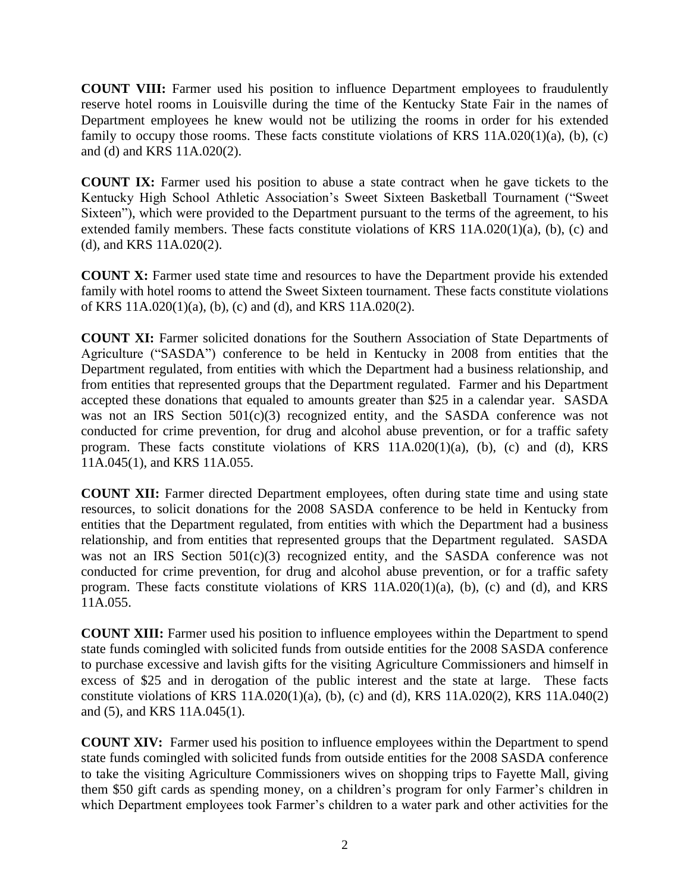1 **COUNT VIII:** Farmer used his position to influence Department employees to fraudulently 2 reserve hotel rooms in Louisville during the time of the Kentucky State Fair in the names of 3 Department employees he knew would not be utilizing the rooms in order for his extended family to occupy those rooms. These facts constitute violations of KRS  $11A.020(1)(a)$ , (b), (c) and (d) and KRS 11A.020(2).

**COUNT IX:** Farmer used his position to abuse a state contract when he gave tickets to the 8 Kentucky High School Athletic Association's Sweet Sixteen Basketball Tournament ("Sweet Sixteen"), which were provided to the Department pursuant to the terms of the agreement, to his extended family members. These facts constitute violations of KRS  $11A.020(1)(a)$ , (b), (c) and  $(d)$ , and KRS 11A.020 $(2)$ .

**COUNT X:** Farmer used state time and resources to have the Department provide his extended family with hotel rooms to attend the Sweet Sixteen tournament. These facts constitute violations of KRS 11A.020(1)(a), (b), (c) and (d), and KRS 11A.020(2).

17 **COUNT XI:** Farmer solicited donations for the Southern Association of State Departments of Agriculture ("SASDA") conference to be held in Kentucky in 2008 from entities that the 19 Department regulated, from entities with which the Department had a business relationship, and from entities that represented groups that the Department regulated. Farmer and his Department accepted these donations that equaled to amounts greater than \$25 in a calendar year. SASDA was not an IRS Section  $501(c)(3)$  recognized entity, and the SASDA conference was not conducted for crime prevention, for drug and alcohol abuse prevention, or for a traffic safety program. These facts constitute violations of KRS  $11A.020(1)(a)$ , (b), (c) and (d), KRS 25 11A.045(1), and KRS 11A.055.

**COUNT XII:** Farmer directed Department employees, often during state time and using state 28 resources, to solicit donations for the 2008 SASDA conference to be held in Kentucky from entities that the Department regulated, from entities with which the Department had a business relationship, and from entities that represented groups that the Department regulated. SASDA was not an IRS Section  $501(c)(3)$  recognized entity, and the SASDA conference was not 32 conducted for crime prevention, for drug and alcohol abuse prevention, or for a traffic safety program. These facts constitute violations of KRS  $11A.020(1)(a)$ , (b), (c) and (d), and KRS 11A.055.

**COUNT XIII:** Farmer used his position to influence employees within the Department to spend state funds comingled with solicited funds from outside entities for the 2008 SASDA conference to purchase excessive and lavish gifts for the visiting Agriculture Commissioners and himself in excess of \$25 and in derogation of the public interest and the state at large. These facts constitute violations of KRS  $11A.020(1)(a)$ , (b), (c) and (d), KRS  $11A.020(2)$ , KRS  $11A.040(2)$ and (5), and KRS  $11A.045(1)$ .

**COUNT XIV:** Farmer used his position to influence employees within the Department to spend state funds comingled with solicited funds from outside entities for the 2008 SASDA conference to take the visiting Agriculture Commissioners wives on shopping trips to Fayette Mall, giving them \$50 gift cards as spending money, on a children's program for only Farmer's children in which Department employees took Farmer's children to a water park and other activities for the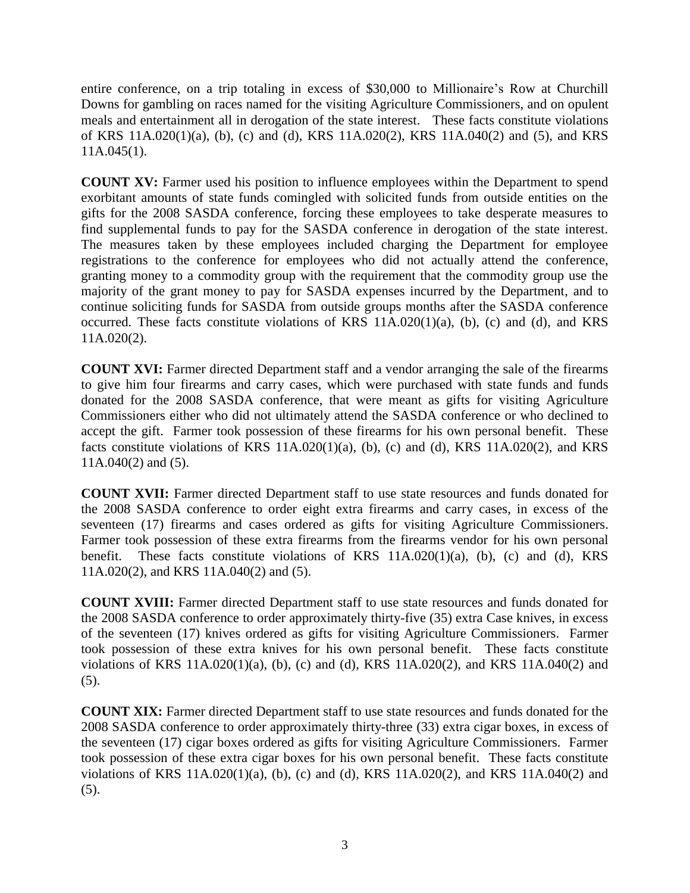1 entire conference, on a trip totaling in excess of \$30,000 to Millionaire's Row at Churchill 2 Downs for gambling on races named for the visiting Agriculture Commissioners, and on opulent meals and entertainment all in derogation of the state interest. These facts constitute violations 4 of KRS 11A.020(1)(a), (b), (c) and (d), KRS 11A.020(2), KRS 11A.040(2) and (5), and KRS  $11A.045(1)$ .

**COUNT XV:** Farmer used his position to influence employees within the Department to spend exorbitant amounts of state funds comingled with solicited funds from outside entities on the gifts for the 2008 SASDA conference, forcing these employees to take desperate measures to find supplemental funds to pay for the SASDA conference in derogation of the state interest. The measures taken by these employees included charging the Department for employee 12 registrations to the conference for employees who did not actually attend the conference, 13 granting money to a commodity group with the requirement that the commodity group use the majority of the grant money to pay for SASDA expenses incurred by the Department, and to continue soliciting funds for SASDA from outside groups months after the SASDA conference occurred. These facts constitute violations of KRS  $11A.020(1)(a)$ , (b), (c) and (d), and KRS  $11A.020(2)$ .

19 **COUNT XVI:** Farmer directed Department staff and a vendor arranging the sale of the firearms 20 to give him four firearms and carry cases, which were purchased with state funds and funds 21 donated for the 2008 SASDA conference, that were meant as gifts for visiting Agriculture Commissioners either who did not ultimately attend the SASDA conference or who declined to accept the gift. Farmer took possession of these firearms for his own personal benefit. These facts constitute violations of KRS  $11A.020(1)(a)$ , (b), (c) and (d), KRS  $11A.020(2)$ , and KRS  $11A.040(2)$  and (5).

27 **COUNT XVII:** Farmer directed Department staff to use state resources and funds donated for 28 the 2008 SASDA conference to order eight extra firearms and carry cases, in excess of the seventeen (17) firearms and cases ordered as gifts for visiting Agriculture Commissioners. Farmer took possession of these extra firearms from the firearms vendor for his own personal benefit. These facts constitute violations of KRS  $11A.020(1)(a)$ , (b), (c) and (d), KRS 32 11A.020(2), and KRS 11A.040(2) and (5).

34 **COUNT XVIII:** Farmer directed Department staff to use state resources and funds donated for the 2008 SASDA conference to order approximately thirty-five (35) extra Case knives, in excess 36 of the seventeen (17) knives ordered as gifts for visiting Agriculture Commissioners. Farmer 37 took possession of these extra knives for his own personal benefit. These facts constitute violations of KRS  $11A.020(1)(a)$ , (b), (c) and (d), KRS  $11A.020(2)$ , and KRS  $11A.040(2)$  and  $(5)$ .

41 **COUNT XIX:** Farmer directed Department staff to use state resources and funds donated for the 42 2008 SASDA conference to order approximately thirty-three (33) extra cigar boxes, in excess of the seventeen (17) cigar boxes ordered as gifts for visiting Agriculture Commissioners. Farmer 44 took possession of these extra cigar boxes for his own personal benefit. These facts constitute violations of KRS 11A.020(1)(a), (b), (c) and (d), KRS 11A.020(2), and KRS 11A.040(2) and  $(5)$ .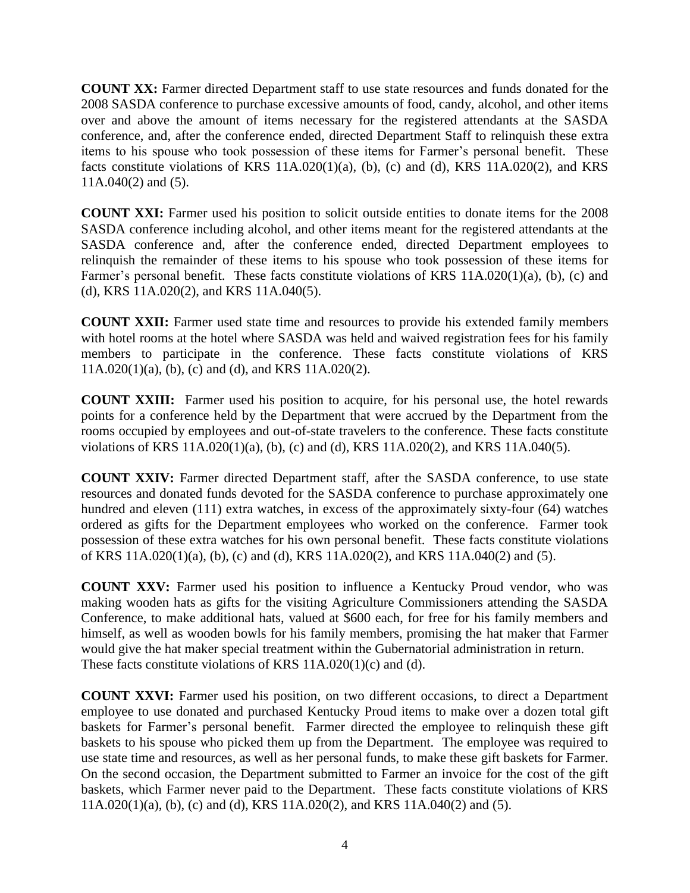1 **COUNT XX:** Farmer directed Department staff to use state resources and funds donated for the 2 2008 SASDA conference to purchase excessive amounts of food, candy, alcohol, and other items over and above the amount of items necessary for the registered attendants at the SASDA conference, and, after the conference ended, directed Department Staff to relinquish these extra items to his spouse who took possession of these items for Farmer's personal benefit. These facts constitute violations of KRS  $11A.020(1)(a)$ , (b), (c) and (d), KRS  $11A.020(2)$ , and KRS  $11A.040(2)$  and  $(5)$ .

9 **COUNT XXI:** Farmer used his position to solicit outside entities to donate items for the 2008 SASDA conference including alcohol, and other items meant for the registered attendants at the SASDA conference and, after the conference ended, directed Department employees to 12 relinquish the remainder of these items to his spouse who took possession of these items for Farmer's personal benefit. These facts constitute violations of KRS 11A.020(1)(a), (b), (c) and (d), KRS 11A.020(2), and KRS 11A.040(5).

**COUNT XXII:** Farmer used state time and resources to provide his extended family members with hotel rooms at the hotel where SASDA was held and waived registration fees for his family members to participate in the conference. These facts constitute violations of KRS  $11A.020(1)(a)$ , (b), (c) and (d), and KRS  $11A.020(2)$ .

**COUNT XXIII:** Farmer used his position to acquire, for his personal use, the hotel rewards points for a conference held by the Department that were accrued by the Department from the 23 rooms occupied by employees and out-of-state travelers to the conference. These facts constitute violations of KRS 11A.020(1)(a), (b), (c) and (d), KRS 11A.020(2), and KRS 11A.040(5).

26 **COUNT XXIV:** Farmer directed Department staff, after the SASDA conference, to use state resources and donated funds devoted for the SASDA conference to purchase approximately one hundred and eleven (111) extra watches, in excess of the approximately sixty-four (64) watches ordered as gifts for the Department employees who worked on the conference. Farmer took 30 possession of these extra watches for his own personal benefit. These facts constitute violations 31 of KRS 11A.020(1)(a), (b), (c) and (d), KRS 11A.020(2), and KRS 11A.040(2) and (5).

33 **COUNT XXV:** Farmer used his position to influence a Kentucky Proud vendor, who was making wooden hats as gifts for the visiting Agriculture Commissioners attending the SASDA 35 Conference, to make additional hats, valued at \$600 each, for free for his family members and himself, as well as wooden bowls for his family members, promising the hat maker that Farmer would give the hat maker special treatment within the Gubernatorial administration in return. These facts constitute violations of KRS  $11A.020(1)(c)$  and (d).

40 **COUNT XXVI:** Farmer used his position, on two different occasions, to direct a Department 41 employee to use donated and purchased Kentucky Proud items to make over a dozen total gift baskets for Farmer's personal benefit. Farmer directed the employee to relinquish these gift baskets to his spouse who picked them up from the Department. The employee was required to use state time and resources, as well as her personal funds, to make these gift baskets for Farmer. 45 On the second occasion, the Department submitted to Farmer an invoice for the cost of the gift baskets, which Farmer never paid to the Department. These facts constitute violations of KRS 47 11A.020(1)(a), (b), (c) and (d), KRS 11A.020(2), and KRS 11A.040(2) and (5).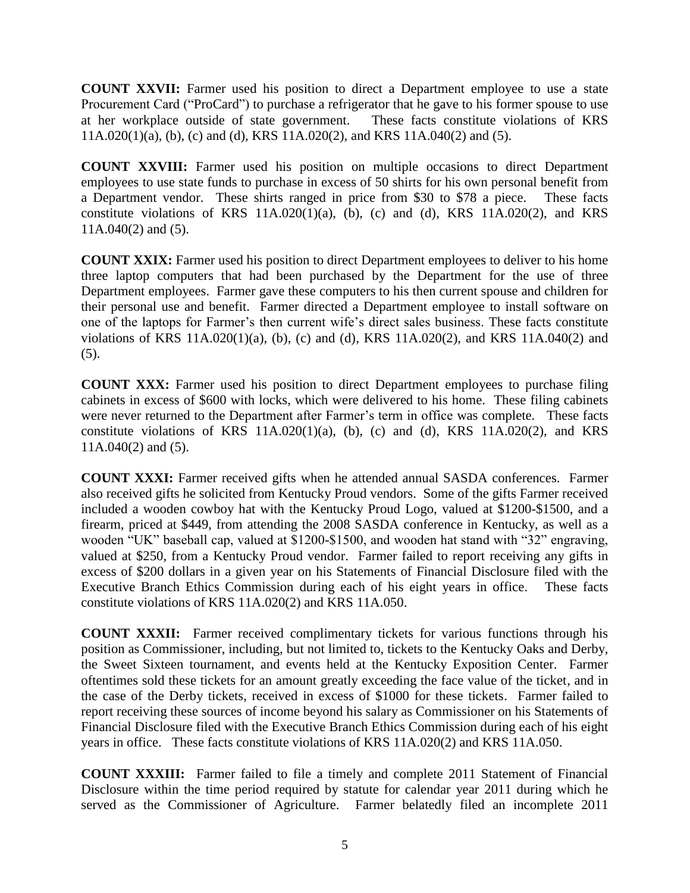**COUNT XXVII:** Farmer used his position to direct a Department employee to use a state 2 Procurement Card ("ProCard") to purchase a refrigerator that he gave to his former spouse to use at her workplace outside of state government. These facts constitute violations of KRS 4 11A.020(1)(a), (b), (c) and (d), KRS 11A.020(2), and KRS 11A.040(2) and (5).

6 **COUNT XXVIII:** Farmer used his position on multiple occasions to direct Department employees to use state funds to purchase in excess of 50 shirts for his own personal benefit from a Department vendor. These shirts ranged in price from \$30 to \$78 a piece. These facts constitute violations of KRS  $11A.020(1)(a)$ , (b), (c) and (d), KRS  $11A.020(2)$ , and KRS  $11A.040(2)$  and  $(5)$ .

**COUNT XXIX:** Farmer used his position to direct Department employees to deliver to his home three laptop computers that had been purchased by the Department for the use of three Department employees. Farmer gave these computers to his then current spouse and children for 15 their personal use and benefit. Farmer directed a Department employee to install software on 16 one of the laptops for Farmer's then current wife's direct sales business. These facts constitute violations of KRS  $11A.020(1)(a)$ , (b), (c) and (d), KRS  $11A.020(2)$ , and KRS  $11A.040(2)$  and  $(5)$ .

> 20 **COUNT XXX:** Farmer used his position to direct Department employees to purchase filing cabinets in excess of \$600 with locks, which were delivered to his home. These filing cabinets 22 were never returned to the Department after Farmer's term in office was complete. These facts constitute violations of KRS  $11A.020(1)(a)$ , (b), (c) and (d), KRS  $11A.020(2)$ , and KRS  $11A.040(2)$  and  $(5)$ .

> 26 **COUNT XXXI:** Farmer received gifts when he attended annual SASDA conferences. Farmer also received gifts he solicited from Kentucky Proud vendors. Some of the gifts Farmer received 28 included a wooden cowboy hat with the Kentucky Proud Logo, valued at \$1200-\$1500, and a firearm, priced at \$449, from attending the 2008 SASDA conference in Kentucky, as well as a wooden "UK" baseball cap, valued at \$1200-\$1500, and wooden hat stand with "32" engraving, valued at \$250, from a Kentucky Proud vendor. Farmer failed to report receiving any gifts in 32 excess of \$200 dollars in a given year on his Statements of Financial Disclosure filed with the Executive Branch Ethics Commission during each of his eight years in office. These facts constitute violations of KRS 11A.020(2) and KRS 11A.050.

> **COUNT XXXII:** Farmer received complimentary tickets for various functions through his position as Commissioner, including, but not limited to, tickets to the Kentucky Oaks and Derby, the Sweet Sixteen tournament, and events held at the Kentucky Exposition Center. Farmer oftentimes sold these tickets for an amount greatly exceeding the face value of the ticket, and in the case of the Derby tickets, received in excess of \$1000 for these tickets. Farmer failed to report receiving these sources of income beyond his salary as Commissioner on his Statements of Financial Disclosure filed with the Executive Branch Ethics Commission during each of his eight years in office. These facts constitute violations of KRS 11A.020(2) and KRS 11A.050.

> 45 **COUNT XXXIII:** Farmer failed to file a timely and complete 2011 Statement of Financial Disclosure within the time period required by statute for calendar year 2011 during which he served as the Commissioner of Agriculture. Farmer belatedly filed an incomplete 2011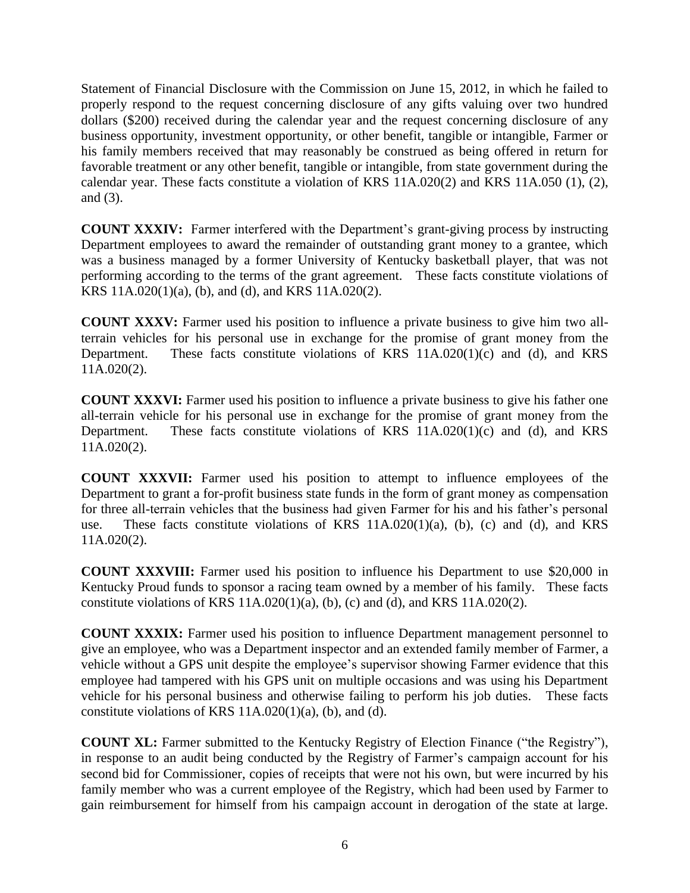Statement of Financial Disclosure with the Commission on June 15, 2012, in which he failed to properly respond to the request concerning disclosure of any gifts valuing over two hundred dollars (\$200) received during the calendar year and the request concerning disclosure of any business opportunity, investment opportunity, or other benefit, tangible or intangible, Farmer or his family members received that may reasonably be construed as being offered in return for favorable treatment or any other benefit, tangible or intangible, from state government during the calendar year. These facts constitute a violation of KRS 11A.020(2) and KRS 11A.050 (1), (2), and  $(3)$ .

**COUNT XXXIV:** Farmer interfered with the Department's grant-giving process by instructing Department employees to award the remainder of outstanding grant money to a grantee, which was a business managed by a former University of Kentucky basketball player, that was not 13 performing according to the terms of the grant agreement. These facts constitute violations of KRS  $11A.020(1)(a)$ , (b), and (d), and KRS  $11A.020(2)$ .

**COUNT XXXV:** Farmer used his position to influence a private business to give him two all-17 terrain vehicles for his personal use in exchange for the promise of grant money from the Department. These facts constitute violations of KRS  $11A.020(1)(c)$  and  $(d)$ , and KRS  $11A.020(2)$ .

**COUNT XXXVI:** Farmer used his position to influence a private business to give his father one all-terrain vehicle for his personal use in exchange for the promise of grant money from the Department. These facts constitute violations of KRS  $11A.020(1)(c)$  and (d), and KRS  $11A.020(2)$ .

26 **COUNT XXXVII:** Farmer used his position to attempt to influence employees of the Department to grant a for-profit business state funds in the form of grant money as compensation 28 for three all-terrain vehicles that the business had given Farmer for his and his father's personal use. These facts constitute violations of KRS  $11A.020(1)(a)$ , (b), (c) and (d), and KRS  $11A.020(2)$ .

32 **COUNT XXXVIII:** Farmer used his position to influence his Department to use \$20,000 in 33 Kentucky Proud funds to sponsor a racing team owned by a member of his family. These facts constitute violations of KRS  $11A.020(1)(a)$ , (b), (c) and (d), and KRS  $11A.020(2)$ .

36 **COUNT XXXIX:** Farmer used his position to influence Department management personnel to give an employee, who was a Department inspector and an extended family member of Farmer, a vehicle without a GPS unit despite the employee's supervisor showing Farmer evidence that this employee had tampered with his GPS unit on multiple occasions and was using his Department 40 vehicle for his personal business and otherwise failing to perform his job duties. These facts constitute violations of KRS  $11A.020(1)(a)$ , (b), and (d).

**COUNT XL:** Farmer submitted to the Kentucky Registry of Election Finance ("the Registry"), 44 in response to an audit being conducted by the Registry of Farmer's campaign account for his second bid for Commissioner, copies of receipts that were not his own, but were incurred by his family member who was a current employee of the Registry, which had been used by Farmer to gain reimbursement for himself from his campaign account in derogation of the state at large.